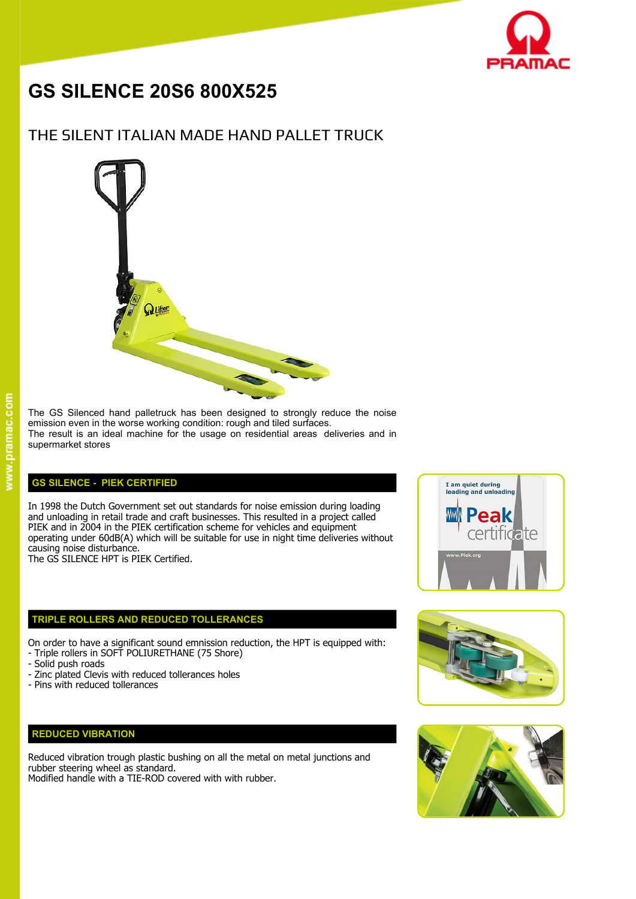

# **GS SILENCE 20S6 800X525**

## THE SILENT ITALIAN MADE HAND PALLET TRUCK



#### The GS Silenced hand palletruck has been designed to strongly reduce the noise emission even in the worse working condition: rough and tiled surfaces. The result is an ideal machine for the usage on residential areas deliveries and in supermarket stores

#### **GS SILENCE - PIEK CERTIFIED**

In 1998 the Dutch Government set out standards for noise emission during loading<br>and unloading in retail trade and craft businesses. This resulted in a project called and unloading in retail trade and craft businesses. This resulted in a project called PIEK and in 2004 in the PIEK certification scheme for vehicles and equipment PIEK and in 2004 in the PIEK certification scheme for vehicles and equipment<br>operating under 60dB(A) which will be suitable for use in night time deliveries without causing noise disturbance.

The GS SILENCE HPT is PIEK Certified.

#### **TRIPLE ROLLERS AND REDUCED TOLLERANCES**

On order to have a significant sound emnission reduction, the HPT is equipped with: - Triple rollers in SOFT POLIURETHANE (75 Shore)

- Solid push roads
- Zinc plated Clevis with reduced tollerances holes
- Pins with reduced tollerances

### **REDUCED VIBRATION**

Reduced vibration trough plastic bushing on all the metal on metal junctions and rubber steering wheel as standard.

Modified handle with a TIE-ROD covered with with rubber.





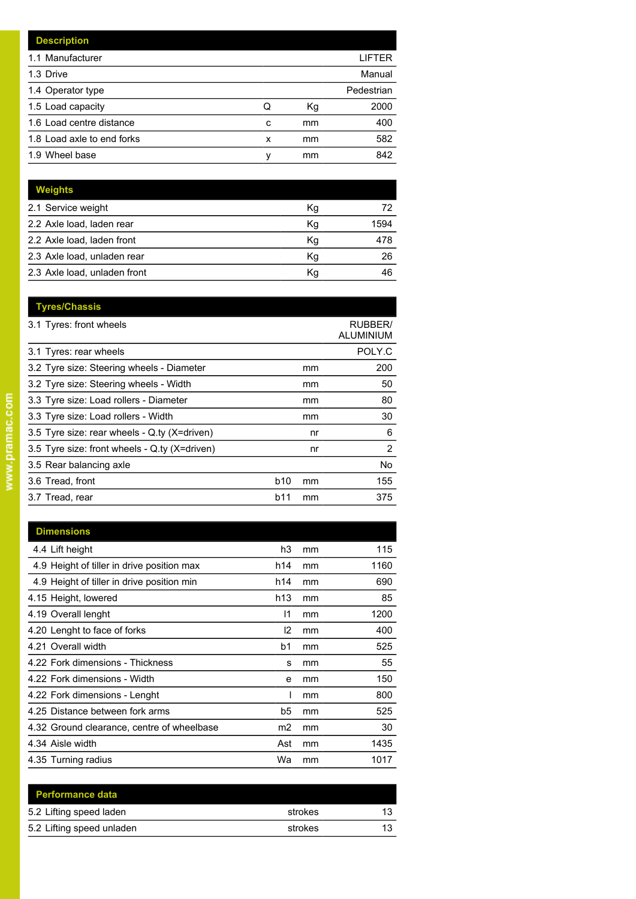|   |    | LIFTER     |
|---|----|------------|
|   |    | Manual     |
|   |    | Pedestrian |
| Q | Кg | 2000       |
| c | mm | 400        |
| x | mm | 582        |
| ν | mm | 842        |
|   |    |            |

| Weights                      |    |      |
|------------------------------|----|------|
| 2.1 Service weight           | Кg | 72   |
| 2.2 Axle load, laden rear    | Kg | 1594 |
| 2.2 Axle load, laden front   | Kg | 478  |
| 2.3 Axle load, unladen rear  | Kg | 26   |
| 2.3 Axle load, unladen front | Kg | 46   |

| <b>Tyres/Chassis</b>                          |                  |                             |
|-----------------------------------------------|------------------|-----------------------------|
| 3.1 Tyres: front wheels                       |                  | <b>RUBBER/</b><br>ALUMINIUM |
| 3.1 Tyres: rear wheels                        |                  | POLY.C                      |
| 3.2 Tyre size: Steering wheels - Diameter     | mm               | 200                         |
| 3.2 Tyre size: Steering wheels - Width        | mm               | 50                          |
| 3.3 Tyre size: Load rollers - Diameter        | mm               | 80                          |
| 3.3 Tyre size: Load rollers - Width           | mm               | 30                          |
| 3.5 Tyre size: rear wheels - Q.ty (X=driven)  | nr               | 6                           |
| 3.5 Tyre size: front wheels - Q.ty (X=driven) | nr               | 2                           |
| 3.5 Rear balancing axle                       |                  | No.                         |
| 3.6 Tread, front                              | b10<br>mm        | 155                         |
| 3.7 Tread, rear                               | <b>b11</b><br>mm | 375                         |
|                                               |                  |                             |

| <b>Dimensions</b>                          |                |    |      |
|--------------------------------------------|----------------|----|------|
| 4.4 Lift height                            | h3             | mm | 115  |
| 4.9 Height of tiller in drive position max | h14            | mm | 1160 |
| 4.9 Height of tiller in drive position min | h14            | mm | 690  |
| 4.15 Height, lowered                       | h13            | mm | 85   |
| 4.19 Overall lenght                        | $\mathsf{I}$   | mm | 1200 |
| 4.20 Lenght to face of forks               | 12             | mm | 400  |
| 4.21 Overall width                         | b1             | mm | 525  |
| 4.22 Fork dimensions - Thickness           | s              | mm | 55   |
| 4.22 Fork dimensions - Width               | e              | mm | 150  |
| 4.22 Fork dimensions - Lenght              |                | mm | 800  |
| 4.25 Distance between fork arms            | b5             | mm | 525  |
| 4.32 Ground clearance, centre of wheelbase | m <sub>2</sub> | mm | 30   |
| 4.34 Aisle width                           | Ast            | mm | 1435 |
| 4.35 Turning radius                        | Wa             | mm | 1017 |

| <b>Performance data</b>   |         |  |
|---------------------------|---------|--|
| 5.2 Lifting speed laden   | strokes |  |
| 5.2 Lifting speed unladen | strokes |  |